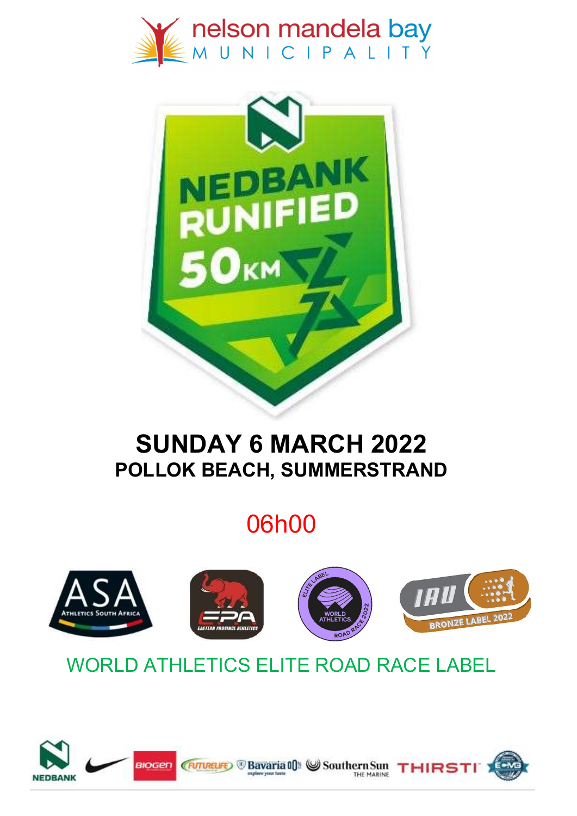



## SUNDAY 6 MARCH 2022 POLLOK BEACH, SUMMERSTRAND

# 06h00



## WORLD ATHLETICS ELITE ROAD RACE LABEL

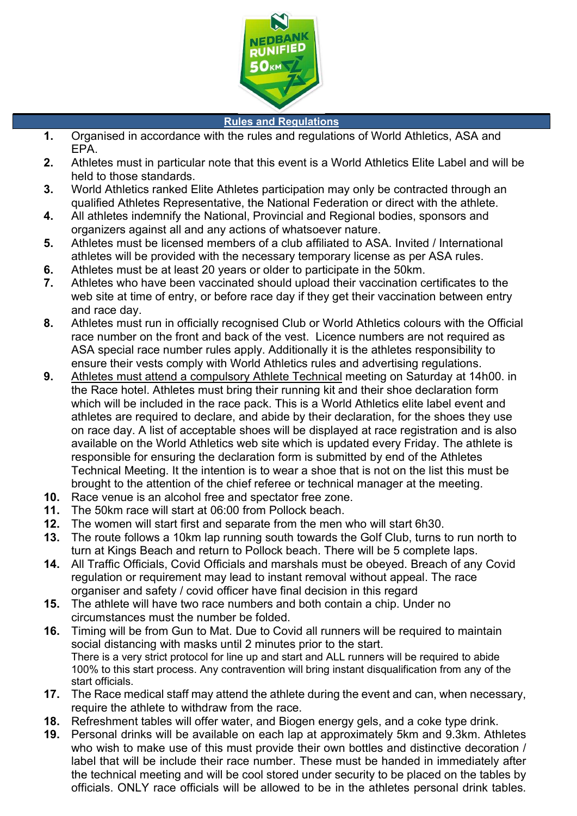

#### Rules and Regulations

- 1. Organised in accordance with the rules and regulations of World Athletics, ASA and EPA.
- 2. Athletes must in particular note that this event is a World Athletics Elite Label and will be held to those standards.
- 3. World Athletics ranked Elite Athletes participation may only be contracted through an qualified Athletes Representative, the National Federation or direct with the athlete.
- 4. All athletes indemnify the National, Provincial and Regional bodies, sponsors and organizers against all and any actions of whatsoever nature.
- 5. Athletes must be licensed members of a club affiliated to ASA. Invited / International athletes will be provided with the necessary temporary license as per ASA rules.
- 6. Athletes must be at least 20 years or older to participate in the 50km.
- 7. Athletes who have been vaccinated should upload their vaccination certificates to the web site at time of entry, or before race day if they get their vaccination between entry and race day.
- 8. Athletes must run in officially recognised Club or World Athletics colours with the Official race number on the front and back of the vest. Licence numbers are not required as ASA special race number rules apply. Additionally it is the athletes responsibility to ensure their vests comply with World Athletics rules and advertising regulations.
- 9. Athletes must attend a compulsory Athlete Technical meeting on Saturday at 14h00. in the Race hotel. Athletes must bring their running kit and their shoe declaration form which will be included in the race pack. This is a World Athletics elite label event and athletes are required to declare, and abide by their declaration, for the shoes they use on race day. A list of acceptable shoes will be displayed at race registration and is also available on the World Athletics web site which is updated every Friday. The athlete is responsible for ensuring the declaration form is submitted by end of the Athletes Technical Meeting. It the intention is to wear a shoe that is not on the list this must be brought to the attention of the chief referee or technical manager at the meeting.
- 10. Race venue is an alcohol free and spectator free zone.
- 11. The 50km race will start at 06:00 from Pollock beach.
- 12. The women will start first and separate from the men who will start 6h30.
- 13. The route follows a 10km lap running south towards the Golf Club, turns to run north to turn at Kings Beach and return to Pollock beach. There will be 5 complete laps.
- 14. All Traffic Officials, Covid Officials and marshals must be obeyed. Breach of any Covid regulation or requirement may lead to instant removal without appeal. The race organiser and safety / covid officer have final decision in this regard
- 15. The athlete will have two race numbers and both contain a chip. Under no circumstances must the number be folded.
- 16. Timing will be from Gun to Mat. Due to Covid all runners will be required to maintain social distancing with masks until 2 minutes prior to the start. There is a very strict protocol for line up and start and ALL runners will be required to abide 100% to this start process. Any contravention will bring instant disqualification from any of the start officials.
- 17. The Race medical staff may attend the athlete during the event and can, when necessary, require the athlete to withdraw from the race.
- 18. Refreshment tables will offer water, and Biogen energy gels, and a coke type drink.
- 19. Personal drinks will be available on each lap at approximately 5km and 9.3km. Athletes who wish to make use of this must provide their own bottles and distinctive decoration / label that will be include their race number. These must be handed in immediately after the technical meeting and will be cool stored under security to be placed on the tables by officials. ONLY race officials will be allowed to be in the athletes personal drink tables.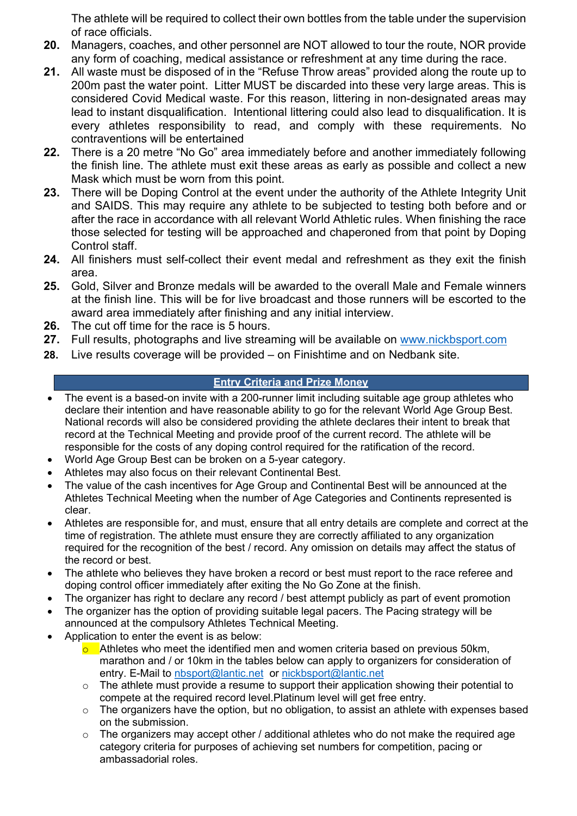The athlete will be required to collect their own bottles from the table under the supervision of race officials.

- 20. Managers, coaches, and other personnel are NOT allowed to tour the route, NOR provide any form of coaching, medical assistance or refreshment at any time during the race.
- 21. All waste must be disposed of in the "Refuse Throw areas" provided along the route up to 200m past the water point. Litter MUST be discarded into these very large areas. This is considered Covid Medical waste. For this reason, littering in non-designated areas may lead to instant disqualification. Intentional littering could also lead to disqualification. It is every athletes responsibility to read, and comply with these requirements. No contraventions will be entertained
- 22. There is a 20 metre "No Go" area immediately before and another immediately following the finish line. The athlete must exit these areas as early as possible and collect a new Mask which must be worn from this point.
- 23. There will be Doping Control at the event under the authority of the Athlete Integrity Unit and SAIDS. This may require any athlete to be subjected to testing both before and or after the race in accordance with all relevant World Athletic rules. When finishing the race those selected for testing will be approached and chaperoned from that point by Doping Control staff.
- 24. All finishers must self-collect their event medal and refreshment as they exit the finish area.
- 25. Gold, Silver and Bronze medals will be awarded to the overall Male and Female winners at the finish line. This will be for live broadcast and those runners will be escorted to the award area immediately after finishing and any initial interview.
- 26. The cut off time for the race is 5 hours.
- 27. Full results, photographs and live streaming will be available on www.nickbsport.com
- 28. Live results coverage will be provided on Finishtime and on Nedbank site.

#### Entry Criteria and Prize Money

- The event is a based-on invite with a 200-runner limit including suitable age group athletes who declare their intention and have reasonable ability to go for the relevant World Age Group Best. National records will also be considered providing the athlete declares their intent to break that record at the Technical Meeting and provide proof of the current record. The athlete will be responsible for the costs of any doping control required for the ratification of the record.
- World Age Group Best can be broken on a 5-year category.
- Athletes may also focus on their relevant Continental Best.
- The value of the cash incentives for Age Group and Continental Best will be announced at the Athletes Technical Meeting when the number of Age Categories and Continents represented is clear.
- Athletes are responsible for, and must, ensure that all entry details are complete and correct at the time of registration. The athlete must ensure they are correctly affiliated to any organization required for the recognition of the best / record. Any omission on details may affect the status of the record or best.
- The athlete who believes they have broken a record or best must report to the race referee and doping control officer immediately after exiting the No Go Zone at the finish.
- The organizer has right to declare any record / best attempt publicly as part of event promotion
- The organizer has the option of providing suitable legal pacers. The Pacing strategy will be announced at the compulsory Athletes Technical Meeting.
- Application to enter the event is as below:
	- $\circ$  Athletes who meet the identified men and women criteria based on previous 50km, marathon and / or 10km in the tables below can apply to organizers for consideration of entry. E-Mail to nbsport@lantic.net or nickbsport@lantic.net
	- $\circ$  The athlete must provide a resume to support their application showing their potential to compete at the required record level.Platinum level will get free entry.
	- $\circ$  The organizers have the option, but no obligation, to assist an athlete with expenses based on the submission.
	- $\circ$  The organizers may accept other / additional athletes who do not make the required age category criteria for purposes of achieving set numbers for competition, pacing or ambassadorial roles.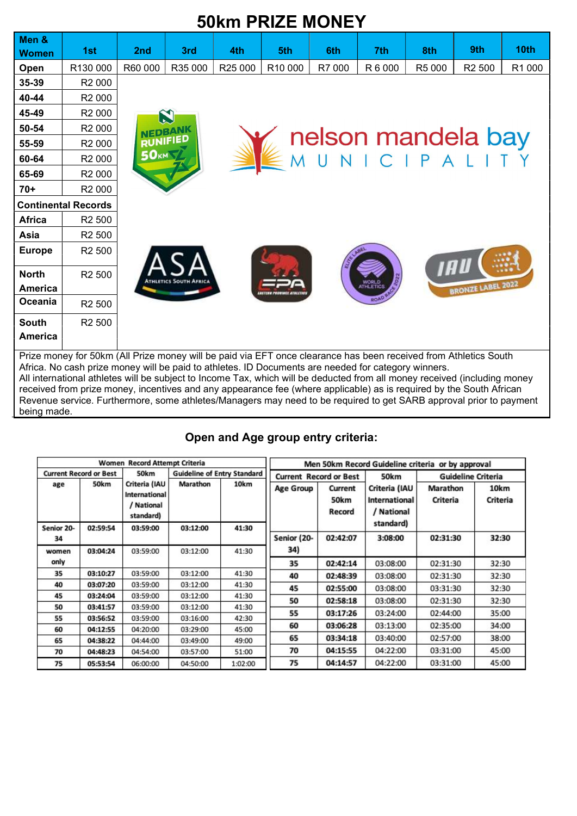|                                |                                                                                                                                                                                                                                                                                                                                                                                                                                                                                                                                                                                                   |             |                 |         | <b>50km PRIZE MONEY</b>       |        |         |        |                                           |        |
|--------------------------------|---------------------------------------------------------------------------------------------------------------------------------------------------------------------------------------------------------------------------------------------------------------------------------------------------------------------------------------------------------------------------------------------------------------------------------------------------------------------------------------------------------------------------------------------------------------------------------------------------|-------------|-----------------|---------|-------------------------------|--------|---------|--------|-------------------------------------------|--------|
| Men &<br><b>Women</b>          | 1st                                                                                                                                                                                                                                                                                                                                                                                                                                                                                                                                                                                               | 2nd         | 3rd             | 4th     | 5th                           | 6th    | 7th     | 8th    | 9th                                       | 10th   |
| Open                           | R130 000                                                                                                                                                                                                                                                                                                                                                                                                                                                                                                                                                                                          | R60 000     | R35 000         | R25 000 | R10 000                       | R7 000 | R 6 000 | R5 000 | R <sub>2</sub> 500                        | R1 000 |
| 35-39                          | R <sub>2</sub> 000                                                                                                                                                                                                                                                                                                                                                                                                                                                                                                                                                                                |             |                 |         |                               |        |         |        |                                           |        |
| 40-44                          | R <sub>2</sub> 000                                                                                                                                                                                                                                                                                                                                                                                                                                                                                                                                                                                |             |                 |         |                               |        |         |        |                                           |        |
| 45-49                          | R <sub>2</sub> 000                                                                                                                                                                                                                                                                                                                                                                                                                                                                                                                                                                                |             | N               |         |                               |        |         |        |                                           |        |
| 50-54                          | R <sub>2</sub> 000                                                                                                                                                                                                                                                                                                                                                                                                                                                                                                                                                                                |             |                 |         |                               |        |         |        |                                           |        |
| 55-59                          | R <sub>2</sub> 000                                                                                                                                                                                                                                                                                                                                                                                                                                                                                                                                                                                |             | <b>RUNIFIED</b> |         |                               |        |         |        | <b>nelson mandela bay</b><br>MUNICIPALITY |        |
| 60-64                          | R <sub>2</sub> 000                                                                                                                                                                                                                                                                                                                                                                                                                                                                                                                                                                                | <b>50KM</b> |                 |         |                               |        |         |        |                                           |        |
| 65-69                          | R <sub>2</sub> 000                                                                                                                                                                                                                                                                                                                                                                                                                                                                                                                                                                                |             |                 |         |                               |        |         |        |                                           |        |
| $70+$                          | R <sub>2</sub> 000                                                                                                                                                                                                                                                                                                                                                                                                                                                                                                                                                                                |             |                 |         |                               |        |         |        |                                           |        |
|                                | <b>Continental Records</b>                                                                                                                                                                                                                                                                                                                                                                                                                                                                                                                                                                        |             |                 |         |                               |        |         |        |                                           |        |
| <b>Africa</b>                  | R <sub>2</sub> 500                                                                                                                                                                                                                                                                                                                                                                                                                                                                                                                                                                                |             |                 |         |                               |        |         |        |                                           |        |
| Asia                           | R <sub>2</sub> 500                                                                                                                                                                                                                                                                                                                                                                                                                                                                                                                                                                                |             |                 |         |                               |        |         |        |                                           |        |
| <b>Europe</b>                  | R <sub>2</sub> 500                                                                                                                                                                                                                                                                                                                                                                                                                                                                                                                                                                                |             |                 |         |                               |        |         |        |                                           |        |
| <b>North</b><br><b>America</b> | R <sub>2</sub> 500                                                                                                                                                                                                                                                                                                                                                                                                                                                                                                                                                                                |             |                 |         | <b><i>ROBINSE ATMLÉTA</i></b> |        |         |        | <b>BRONZE LABEL 2022</b>                  |        |
| Oceania                        | R <sub>2</sub> 500                                                                                                                                                                                                                                                                                                                                                                                                                                                                                                                                                                                |             |                 |         |                               |        |         |        |                                           |        |
| <b>South</b>                   | R <sub>2</sub> 500                                                                                                                                                                                                                                                                                                                                                                                                                                                                                                                                                                                |             |                 |         |                               |        |         |        |                                           |        |
| <b>America</b>                 |                                                                                                                                                                                                                                                                                                                                                                                                                                                                                                                                                                                                   |             |                 |         |                               |        |         |        |                                           |        |
|                                | Prize money for 50km (All Prize money will be paid via EFT once clearance has been received from Athletics South<br>Africa. No cash prize money will be paid to athletes. ID Documents are needed for category winners.<br>All international athletes will be subject to Income Tax, which will be deducted from all money received (including money<br>received from prize money, incentives and any appearance fee (where applicable) as is required by the South African<br>Revenue service. Furthermore, some athletes/Managers may need to be required to get SARB approval prior to payment |             |                 |         |                               |        |         |        |                                           |        |

### Open and Age group entry criteria:

being made.

| Women Record Attempt Criteria |          |                                                           |                                    | Men 50km Record Guideline criteria or by approval |                               |                           |                                              |                             |                  |
|-------------------------------|----------|-----------------------------------------------------------|------------------------------------|---------------------------------------------------|-------------------------------|---------------------------|----------------------------------------------|-----------------------------|------------------|
| <b>Current Record or Best</b> |          | 50km                                                      | <b>Guideline of Entry Standard</b> |                                                   | <b>Current Record or Best</b> |                           | 50km                                         | <b>Guideline Criteria</b>   |                  |
| age                           | 50km     | Criteria (IAU<br>International<br>/ National<br>standard) | Marathon                           | 10km                                              | <b>Age Group</b>              | Current<br>50km<br>Record | Criteria (IAU<br>International<br>/ National | Marathon<br><b>Criteria</b> | 10km<br>Criteria |
| Senior 20-                    | 02:59:54 | 03:59:00                                                  | 03:12:00                           | 41:30                                             |                               |                           | standard)                                    |                             |                  |
| 34                            |          |                                                           |                                    |                                                   | Senior (20-                   | 02:42:07                  | 3:08:00                                      | 02:31:30                    | 32:30            |
| women                         | 03:04:24 | 03:59:00                                                  | 03:12:00                           | 41:30                                             | 34)                           |                           |                                              |                             |                  |
| only                          |          |                                                           |                                    |                                                   | 35                            | 02:42:14                  | 03:08:00                                     | 02:31:30                    | 32:30            |
| 35                            | 03:10:27 | 03:59:00                                                  | 03:12:00                           | 41:30                                             | 40                            | 02:48:39                  | 03:08:00                                     | 02:31:30                    | 32:30            |
| 40                            | 03:07:20 | 03:59:00                                                  | 03:12:00                           | 41:30                                             | 45                            | 02:55:00                  | 03:08:00                                     | 03:31:30                    | 32:30            |
| 45                            | 03:24:04 | 03:59:00                                                  | 03:12:00                           | 41:30                                             | 50                            | 02:58:18                  | 03:08:00                                     | 02:31:30                    | 32:30            |
| 50                            | 03:41:57 | 03:59:00                                                  | 03:12:00                           | 41:30                                             |                               |                           |                                              |                             |                  |
| 55                            | 03:56:52 | 03:59:00                                                  | 03:16:00                           | 42:30                                             | 55                            | 03:17:26                  | 03:24:00                                     | 02:44:00                    | 35:00            |
| 60                            | 04:12:55 | 04:20:00                                                  | 03:29:00                           | 45:00                                             | 60                            | 03:06:28                  | 03:13:00                                     | 02:35:00                    | 34:00            |
| 65                            | 04:38:22 | 04:44:00                                                  | 03:49:00                           | 49:00                                             | 65                            | 03:34:18                  | 03:40:00                                     | 02:57:00                    | 38:00            |
| 70                            | 04:48:23 | 04:54:00                                                  | 03:57:00                           | 51:00                                             | 70                            | 04:15:55                  | 04:22:00                                     | 03:31:00                    | 45:00            |
| 75                            | 05:53:54 | 06:00:00                                                  | 04:50:00                           | 1:02:00                                           | 75                            | 04:14:57                  | 04:22:00                                     | 03:31:00                    | 45:00            |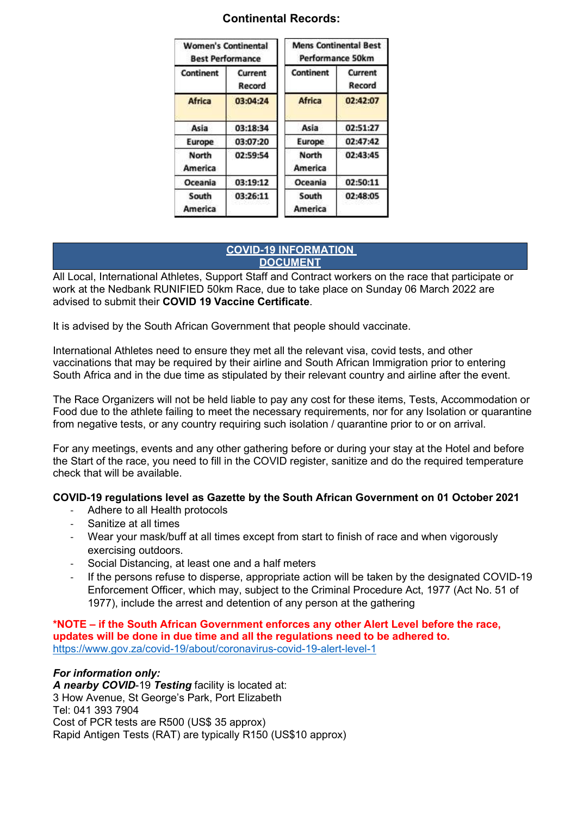| <b>Women's Continental</b><br><b>Best Performance</b> |                   | <b>Mens Continental Best</b><br><b>Performance 50km</b> |                   |  |  |
|-------------------------------------------------------|-------------------|---------------------------------------------------------|-------------------|--|--|
| Continent                                             | Current<br>Record | Continent                                               | Current<br>Record |  |  |
| <b>Africa</b>                                         | 03:04:24          | <b>Africa</b>                                           | 02:42:07          |  |  |
| Asia                                                  | 03:18:34          | Asia                                                    | 02:51:27          |  |  |
| Europe                                                | 03:07:20          | Europe                                                  | 02:47:42          |  |  |
| North<br><b>America</b>                               | 02:59:54          | North<br><b>America</b>                                 | 02:43:45          |  |  |
| Oceania                                               | 03:19:12          | Oceania                                                 | 02:50:11          |  |  |
| South<br><b>America</b>                               | 03:26:11          | South<br><b>America</b>                                 | 02:48:05          |  |  |

#### Continental Records:

#### COVID-19 INFORMATION **DOCUMENT**

All Local, International Athletes, Support Staff and Contract workers on the race that participate or work at the Nedbank RUNIFIED 50km Race, due to take place on Sunday 06 March 2022 are advised to submit their COVID 19 Vaccine Certificate.

It is advised by the South African Government that people should vaccinate.

International Athletes need to ensure they met all the relevant visa, covid tests, and other vaccinations that may be required by their airline and South African Immigration prior to entering South Africa and in the due time as stipulated by their relevant country and airline after the event.

The Race Organizers will not be held liable to pay any cost for these items, Tests, Accommodation or Food due to the athlete failing to meet the necessary requirements, nor for any Isolation or quarantine from negative tests, or any country requiring such isolation / quarantine prior to or on arrival.

For any meetings, events and any other gathering before or during your stay at the Hotel and before the Start of the race, you need to fill in the COVID register, sanitize and do the required temperature check that will be available.

#### COVID-19 regulations level as Gazette by the South African Government on 01 October 2021

- Adhere to all Health protocols
- Sanitize at all times
- Wear your mask/buff at all times except from start to finish of race and when vigorously exercising outdoors.
- Social Distancing, at least one and a half meters
- If the persons refuse to disperse, appropriate action will be taken by the designated COVID-19 Enforcement Officer, which may, subject to the Criminal Procedure Act, 1977 (Act No. 51 of 1977), include the arrest and detention of any person at the gathering

\*NOTE – if the South African Government enforces any other Alert Level before the race, updates will be done in due time and all the regulations need to be adhered to. https://www.gov.za/covid-19/about/coronavirus-covid-19-alert-level-1

#### For information only:

A nearby COVID-19 Testing facility is located at: 3 How Avenue, St George's Park, Port Elizabeth Tel: 041 393 7904 Cost of PCR tests are R500 (US\$ 35 approx) Rapid Antigen Tests (RAT) are typically R150 (US\$10 approx)